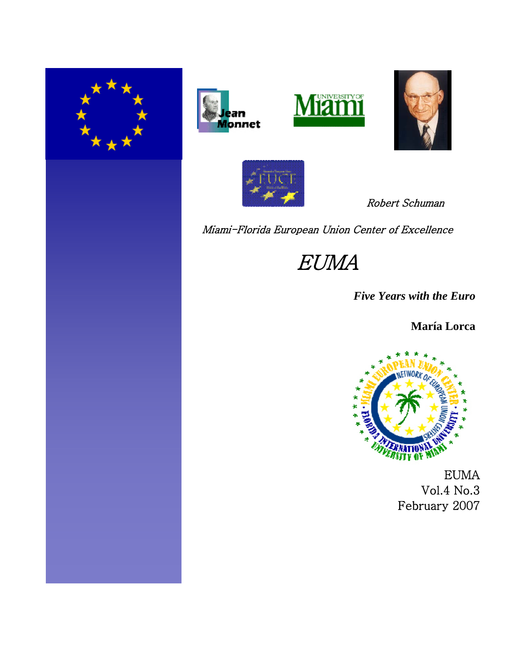









Robert Schuman

Miami-Florida European Union Center of Excellence

EUMA

*Five Years with the Euro*

**María Lorca**



EUMA Vol.4 No.3 February 2007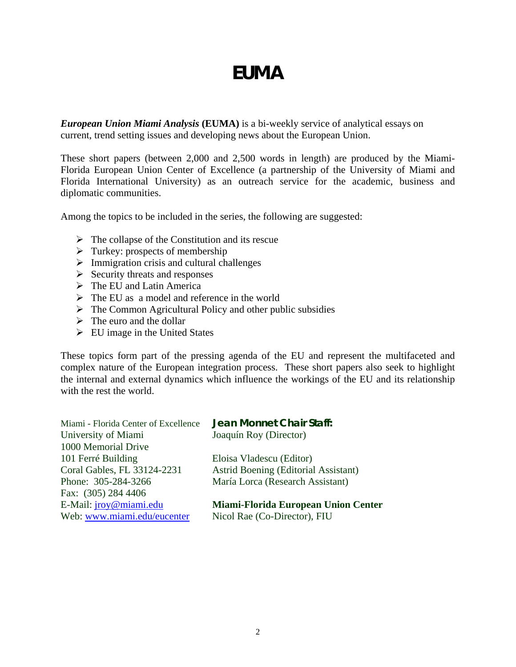# *EUMA*

*European Union Miami Analysis* **(EUMA)** is a bi-weekly service of analytical essays on current, trend setting issues and developing news about the European Union.

These short papers (between 2,000 and 2,500 words in length) are produced by the Miami-Florida European Union Center of Excellence (a partnership of the University of Miami and Florida International University) as an outreach service for the academic, business and diplomatic communities.

Among the topics to be included in the series, the following are suggested:

- $\triangleright$  The collapse of the Constitution and its rescue
- $\triangleright$  Turkey: prospects of membership
- $\triangleright$  Immigration crisis and cultural challenges
- $\triangleright$  Security threats and responses
- $\triangleright$  The EU and Latin America
- $\triangleright$  The EU as a model and reference in the world
- $\triangleright$  The Common Agricultural Policy and other public subsidies
- $\triangleright$  The euro and the dollar
- $\triangleright$  EU image in the United States

These topics form part of the pressing agenda of the EU and represent the multifaceted and complex nature of the European integration process. These short papers also seek to highlight the internal and external dynamics which influence the workings of the EU and its relationship with the rest the world.

| Miami - Florida Center of Excellence | Jean Monnet Chair Staff:                    |
|--------------------------------------|---------------------------------------------|
| University of Miami                  | Joaquín Roy (Director)                      |
| 1000 Memorial Drive                  |                                             |
| 101 Ferré Building                   | Eloisa Vladescu (Editor)                    |
| Coral Gables, FL 33124-2231          | <b>Astrid Boening (Editorial Assistant)</b> |
| Phone: 305-284-3266                  | María Lorca (Research Assistant)            |
| Fax: (305) 284 4406                  |                                             |
| E-Mail: <i>jroy@miami.edu</i>        | <b>Miami-Florida European Union Center</b>  |
| Web: www.miami.edu/eucenter          | Nicol Rae (Co-Director), FIU                |
|                                      |                                             |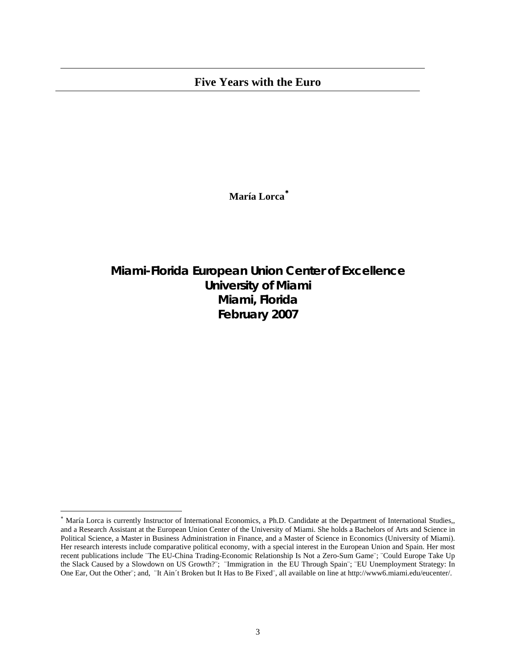## **Five Years with the Euro**

**María Lorca**[∗](#page-2-0)

**Miami-Florida European Union Center of Excellence University of Miami Miami, Florida February 2007**

 $\overline{\phantom{a}}$ 

<span id="page-2-0"></span><sup>∗</sup> María Lorca is currently Instructor of International Economics, a Ph.D. Candidate at the Department of International Studies,, and a Research Assistant at the European Union Center of the University of Miami. She holds a Bachelors of Arts and Science in Political Science, a Master in Business Administration in Finance, and a Master of Science in Economics (University of Miami). Her research interests include comparative political economy, with a special interest in the European Union and Spain. Her most recent publications include ¨The EU-China Trading-Economic Relationship Is Not a Zero-Sum Game¨; ¨Could Europe Take Up the Slack Caused by a Slowdown on US Growth?¨; ¨Immigration in the EU Through Spain¨; ¨EU Unemployment Strategy: In One Ear, Out the Other¨; and, ¨It Ain´t Broken but It Has to Be Fixed¨, all available on line at http://www6.miami.edu/eucenter/.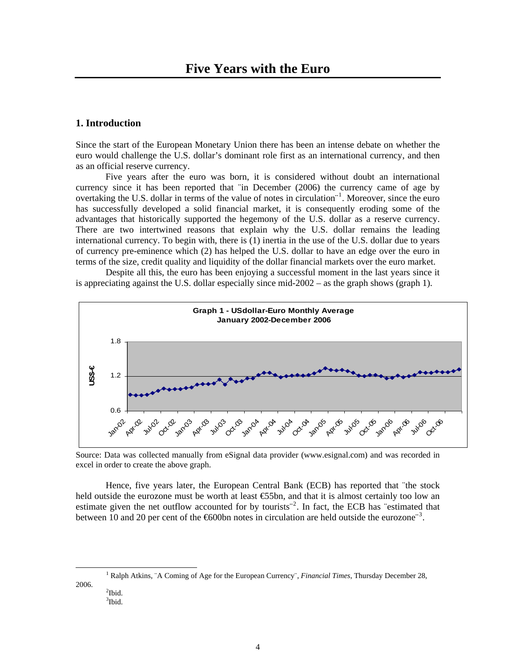#### **1. Introduction**

Since the start of the European Monetary Union there has been an intense debate on whether the euro would challenge the U.S. dollar's dominant role first as an international currency, and then as an official reserve currency.

Five years after the euro was born, it is considered without doubt an international currency since it has been reported that ¨in December (2006) the currency came of age by overtaking the U.S. dollar in terms of the value of notes in circulation<sup>"[1](#page-3-0)</sup>. Moreover, since the euro has successfully developed a solid financial market, it is consequently eroding some of the advantages that historically supported the hegemony of the U.S. dollar as a reserve currency. There are two intertwined reasons that explain why the U.S. dollar remains the leading international currency. To begin with, there is (1) inertia in the use of the U.S. dollar due to years of currency pre-eminence which (2) has helped the U.S. dollar to have an edge over the euro in terms of the size, credit quality and liquidity of the dollar financial markets over the euro market.

Despite all this, the euro has been enjoying a successful moment in the last years since it is appreciating against the U.S. dollar especially since mid-2002 – as the graph shows (graph 1).



Source: Data was collected manually from eSignal data provider (www.esignal.com) and was recorded in excel in order to create the above graph.

Hence, five years later, the European Central Bank (ECB) has reported that "the stock held outside the eurozone must be worth at least €55bn, and that it is almost certainly too low an estimate given the net outflow accounted for by tourists<sup>"[2](#page-3-1)</sup>. In fact, the ECB has "estimated that between 10 and 20 per cent of the  $600$ bn notes in circulation are held outside the eurozone<sup>[3](#page-3-2)</sup>.

<span id="page-3-2"></span><span id="page-3-1"></span><span id="page-3-0"></span><u>1</u> <sup>1</sup> Ralph Atkins, ¨A Coming of Age for the European Currency¨, *Financial Times*, Thursday December 28, 2006. 2  $^{2}$ Ibid.

<sup>3</sup> Ibid.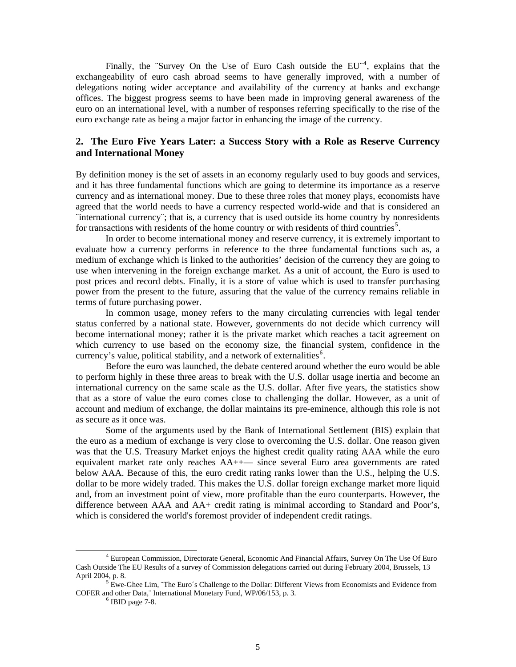Finally, the "Survey On the Use of Euro Cash outside the EU<sup>"[4](#page-4-0)</sup>, explains that the exchangeability of euro cash abroad seems to have generally improved, with a number of delegations noting wider acceptance and availability of the currency at banks and exchange offices. The biggest progress seems to have been made in improving general awareness of the euro on an international level, with a number of responses referring specifically to the rise of the euro exchange rate as being a major factor in enhancing the image of the currency.

### **2. The Euro Five Years Later: a Success Story with a Role as Reserve Currency and International Money**

By definition money is the set of assets in an economy regularly used to buy goods and services, and it has three fundamental functions which are going to determine its importance as a reserve currency and as international money. Due to these three roles that money plays, economists have agreed that the world needs to have a currency respected world-wide and that is considered an ¨international currency¨; that is, a currency that is used outside its home country by nonresidents for transactions with residents of the home country or with residents of third countries<sup>[5](#page-4-1)</sup>.

In order to become international money and reserve currency, it is extremely important to evaluate how a currency performs in reference to the three fundamental functions such as, a medium of exchange which is linked to the authorities' decision of the currency they are going to use when intervening in the foreign exchange market. As a unit of account, the Euro is used to post prices and record debts. Finally, it is a store of value which is used to transfer purchasing power from the present to the future, assuring that the value of the currency remains reliable in terms of future purchasing power.

In common usage, money refers to the many [circulating currencies](http://en.wikipedia.org/wiki/List_of_circulating_currencies) with [legal tender](http://en.wikipedia.org/wiki/Legal_tender) status conferred by a [national](http://en.wikipedia.org/wiki/Nation) state. However, governments do not decide which currency will become international money; rather it is the private market which reaches a tacit agreement on which currency to use based on the economy size, the financial system, confidence in the currency's value, political stability, and a network of externalities<sup>[6](#page-4-2)</sup>.

Before the euro was launched, the debate centered around whether the euro would be able to perform highly in these three areas to break with the U.S. dollar usage inertia and become an international currency on the same scale as the U.S. dollar. After five years, the statistics show that as a store of value the euro comes close to challenging the dollar. However, as a unit of account and medium of exchange, the dollar maintains its pre-eminence, although this role is not as secure as it once was.

Some of the arguments used by the Bank of International Settlement (BIS) explain that the euro as a medium of exchange is very close to overcoming the U.S. dollar. One reason given was that the U.S. Treasury Market enjoys the highest credit quality rating AAA while the euro equivalent market rate only reaches AA++— since several Euro area governments are rated below AAA. Because of this, the euro credit rating ranks lower than the U.S., helping the U.S. dollar to be more widely traded. This makes the U.S. dollar foreign exchange market more liquid and, from an investment point of view, more profitable than the euro counterparts. However, the difference between AAA and AA+ credit rating is minimal according to Standard and Poor's, which is considered the world's foremost provider of independent credit ratings.

<span id="page-4-0"></span> <sup>4</sup> European Commission, Directorate General, Economic And Financial Affairs, Survey On The Use Of Euro Cash Outside The EU Results of a survey of Commission delegations carried out during February 2004, Brussels, 13 April 2004, p. 8.

<span id="page-4-2"></span><span id="page-4-1"></span>Ewe-Ghee Lim, ¨The Euro´s Challenge to the Dollar: Different Views from Economists and Evidence from COFER and other Data," International Monetary Fund, WP/06/153, p. 3.

 $<sup>6</sup>$  IBID page 7-8.</sup>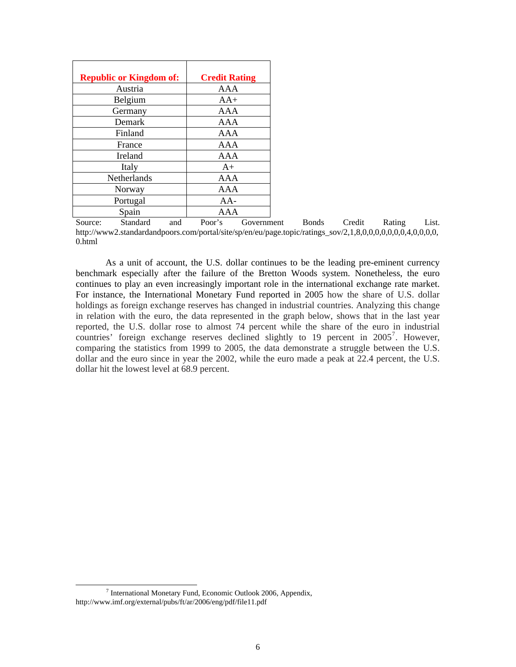| <b>Republic or Kingdom of:</b> | <b>Credit Rating</b> |
|--------------------------------|----------------------|
| Austria                        | AAA                  |
| Belgium                        | $AA+$                |
| Germany                        | AAA                  |
| Demark                         | AAA                  |
| Finland                        | AAA                  |
| France                         | AAA                  |
| Ireland                        | AAA                  |
| Italy                          | $A+$                 |
| Netherlands                    | AAA                  |
| Norway                         | AAA                  |
| Portugal                       | $AA-$                |
| Spain                          | AAA                  |

Source: Standard and Poor's Government Bonds Credit Rating List. http://www2.standardandpoors.com/portal/site/sp/en/eu/page.topic/ratings\_sov/2,1,8,0,0,0,0,0,0,0,4,0,0,0,0, 0.html

As a unit of account, the U.S. dollar continues to be the leading pre-eminent currency benchmark especially after the failure of the Bretton Woods system. Nonetheless, the euro continues to play an even increasingly important role in the international exchange rate market. For instance, the International Monetary Fund reported in 2005 how the share of U.S. dollar holdings as foreign exchange reserves has changed in industrial countries. Analyzing this change in relation with the euro, the data represented in the graph below, shows that in the last year reported, the U.S. dollar rose to almost 74 percent while the share of the euro in industrial countries' foreign exchange reserves declined slightly to 19 percent in  $2005^7$  $2005^7$ . However, comparing the statistics from 1999 to 2005, the data demonstrate a struggle between the U.S. dollar and the euro since in year the 2002, while the euro made a peak at 22.4 percent, the U.S. dollar hit the lowest level at 68.9 percent.

<span id="page-5-0"></span> $\overline{7}$  $\frac{7}{1}$  International Monetary Fund, Economic Outlook 2006, Appendix, http://www.imf.org/external/pubs/ft/ar/2006/eng/pdf/file11.pdf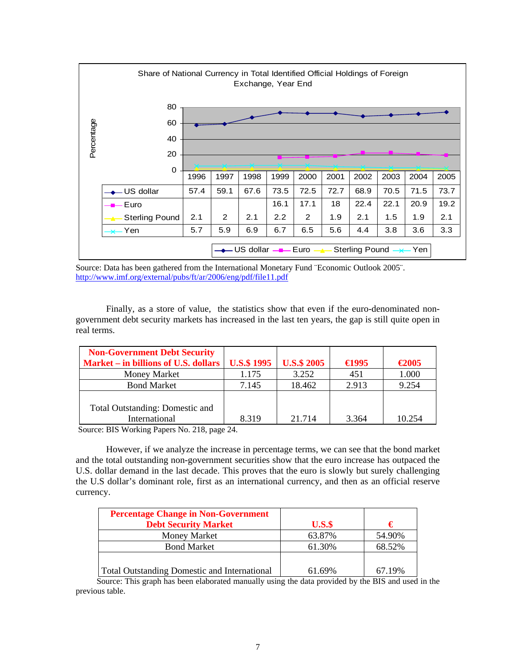

Source: Data has been gathered from the International Monetary Fund ¨Economic Outlook 2005¨. <http://www.imf.org/external/pubs/ft/ar/2006/eng/pdf/file11.pdf>

Finally, as a store of value, the statistics show that even if the euro-denominated nongovernment debt security markets has increased in the last ten years, the gap is still quite open in real terms.

| <b>Non-Government Debt Security</b>    |                    |                    |                 |                 |
|----------------------------------------|--------------------|--------------------|-----------------|-----------------|
| Market – in billions of U.S. dollars   | <b>U.S.\$ 1995</b> | <b>U.S.\$ 2005</b> | $\bigoplus$ 995 | $\epsilon$ 2005 |
| <b>Money Market</b>                    | 1.175              | 3.252              | 451             | 1.000           |
| <b>Bond Market</b>                     | 7.145              | 18.462             | 2.913           | 9.254           |
|                                        |                    |                    |                 |                 |
| <b>Total Outstanding: Domestic and</b> |                    |                    |                 |                 |
| International                          | 8.319              | 21.714             | 3.364           | 10.254          |

Source: BIS Working Papers No. 218, page 24.

However, if we analyze the increase in percentage terms, we can see that the bond market and the total outstanding non-government securities show that the euro increase has outpaced the U.S. dollar demand in the last decade. This proves that the euro is slowly but surely challenging the U.S dollar's dominant role, first as an international currency, and then as an official reserve currency.

| <b>Percentage Change in Non-Government</b>          |         |        |
|-----------------------------------------------------|---------|--------|
| <b>Debt Security Market</b>                         | $U.S.\$ | €      |
| <b>Money Market</b>                                 | 63.87%  | 54.90% |
| <b>Bond Market</b>                                  | 61.30%  | 68.52% |
| <b>Total Outstanding Domestic and International</b> | 61.69%  | 67.19% |

 Source: This graph has been elaborated manually using the data provided by the BIS and used in the previous table.